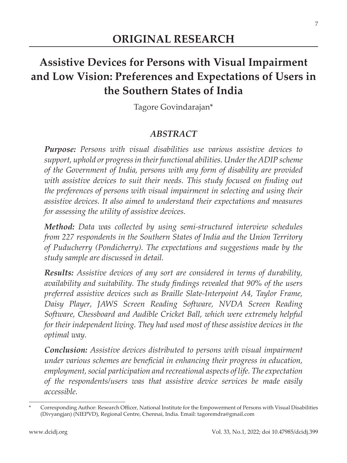# **Assistive Devices for Persons with Visual Impairment and Low Vision: Preferences and Expectations of Users in the Southern States of India**

Tagore Govindarajan\*

#### *ABSTRACT*

*Purpose: Persons with visual disabilities use various assistive devices to support, uphold or progress in their functional abilities. Under the ADIP scheme of the Government of India, persons with any form of disability are provided with assistive devices to suit their needs. This study focused on finding out the preferences of persons with visual impairment in selecting and using their assistive devices. It also aimed to understand their expectations and measures for assessing the utility of assistive devices.*

*Method: Data was collected by using semi-structured interview schedules from 227 respondents in the Southern States of India and the Union Territory of Puducherry (Pondicherry). The expectations and suggestions made by the study sample are discussed in detail.*

*Results: Assistive devices of any sort are considered in terms of durability, availability and suitability. The study findings revealed that 90% of the users preferred assistive devices such as Braille Slate-Interpoint A4, Taylor Frame, Daisy Player, JAWS Screen Reading Software, NVDA Screen Reading Software, Chessboard and Audible Cricket Ball, which were extremely helpful for their independent living. They had used most of these assistive devices in the optimal way.* 

*Conclusion: Assistive devices distributed to persons with visual impairment under various schemes are beneficial in enhancing their progress in education, employment, social participation and recreational aspects of life. The expectation of the respondents/users was that assistive device services be made easily accessible.*

Corresponding Author: Research Officer, National Institute for the Empowerment of Persons with Visual Disabilities (Divyangjan) (NIEPVD), Regional Centre, Chennai, India. Email: tagoremdra@gmail.com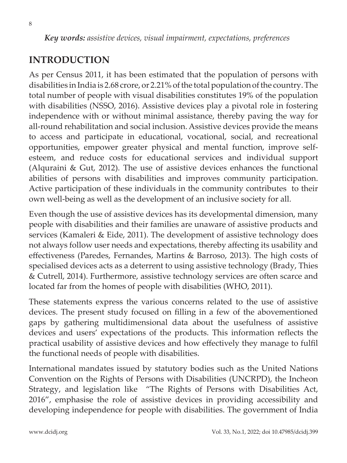*Key words: assistive devices, visual impairment, expectations, preferences*

## **INTRODUCTION**

As per Census 2011, it has been estimated that the population of persons with disabilities in India is 2.68 crore, or 2.21% of the total population of the country. The total number of people with visual disabilities constitutes 19% of the population with disabilities (NSSO, 2016). Assistive devices play a pivotal role in fostering independence with or without minimal assistance, thereby paving the way for all-round rehabilitation and social inclusion. Assistive devices provide the means to access and participate in educational, vocational, social, and recreational opportunities, empower greater physical and mental function, improve selfesteem, and reduce costs for educational services and individual support (Alquraini & Gut, 2012). The use of assistive devices enhances the functional abilities of persons with disabilities and improves community participation. Active participation of these individuals in the community contributes to their own well-being as well as the development of an inclusive society for all.

Even though the use of assistive devices has its developmental dimension, many people with disabilities and their families are unaware of assistive products and services (Kamaleri & Eide, 2011). The development of assistive technology does not always follow user needs and expectations, thereby affecting its usability and effectiveness (Paredes, Fernandes, Martins & Barroso, 2013). The high costs of specialised devices acts as a deterrent to using assistive technology (Brady, Thies & Cutrell, 2014). Furthermore, assistive technology services are often scarce and located far from the homes of people with disabilities (WHO, 2011).

These statements express the various concerns related to the use of assistive devices. The present study focused on filling in a few of the abovementioned gaps by gathering multidimensional data about the usefulness of assistive devices and users' expectations of the products. This information reflects the practical usability of assistive devices and how effectively they manage to fulfil the functional needs of people with disabilities.

International mandates issued by statutory bodies such as the United Nations Convention on the Rights of Persons with Disabilities (UNCRPD), the Incheon Strategy, and legislation like "The Rights of Persons with Disabilities Act, 2016", emphasise the role of assistive devices in providing accessibility and developing independence for people with disabilities. The government of India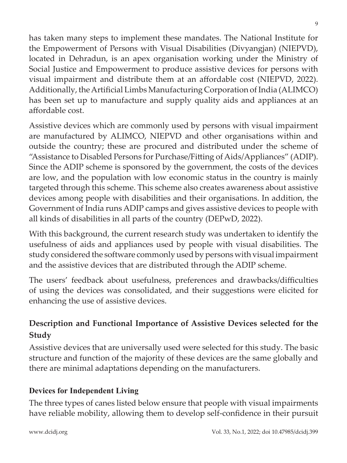has taken many steps to implement these mandates. The National Institute for the Empowerment of Persons with Visual Disabilities (Divyangjan) (NIEPVD), located in Dehradun, is an apex organisation working under the Ministry of Social Justice and Empowerment to produce assistive devices for persons with visual impairment and distribute them at an affordable cost (NIEPVD, 2022). Additionally, the Artificial Limbs Manufacturing Corporation of India (ALIMCO) has been set up to manufacture and supply quality aids and appliances at an affordable cost.

Assistive devices which are commonly used by persons with visual impairment are manufactured by ALIMCO, NIEPVD and other organisations within and outside the country; these are procured and distributed under the scheme of "Assistance to Disabled Persons for Purchase/Fitting of Aids/Appliances" (ADIP). Since the ADIP scheme is sponsored by the government, the costs of the devices are low, and the population with low economic status in the country is mainly targeted through this scheme. This scheme also creates awareness about assistive devices among people with disabilities and their organisations. In addition, the Government of India runs ADIP camps and gives assistive devices to people with all kinds of disabilities in all parts of the country (DEPwD, 2022).

With this background, the current research study was undertaken to identify the usefulness of aids and appliances used by people with visual disabilities. The study considered the software commonly used by persons with visual impairment and the assistive devices that are distributed through the ADIP scheme.

The users' feedback about usefulness, preferences and drawbacks/difficulties of using the devices was consolidated, and their suggestions were elicited for enhancing the use of assistive devices.

# **Description and Functional Importance of Assistive Devices selected for the Study**

Assistive devices that are universally used were selected for this study. The basic structure and function of the majority of these devices are the same globally and there are minimal adaptations depending on the manufacturers.

#### **Devices for Independent Living**

The three types of canes listed below ensure that people with visual impairments have reliable mobility, allowing them to develop self-confidence in their pursuit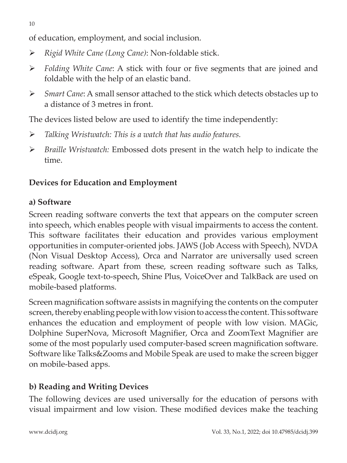of education, employment, and social inclusion.

- *Rigid White Cane (Long Cane)*: Non-foldable stick.
- *Folding White Cane*: A stick with four or five segments that are joined and foldable with the help of an elastic band.
- *Smart Cane*: A small sensor attached to the stick which detects obstacles up to a distance of 3 metres in front.

The devices listed below are used to identify the time independently:

- *Talking Wristwatch: This is a watch that has audio features.*
- *Braille Wristwatch:* Embossed dots present in the watch help to indicate the time.

# **Devices for Education and Employment**

## **a) Software**

Screen reading software converts the text that appears on the computer screen into speech, which enables people with visual impairments to access the content. This software facilitates their education and provides various employment opportunities in computer-oriented jobs. JAWS (Job Access with Speech), NVDA (Non Visual Desktop Access), Orca and Narrator are universally used screen reading software. Apart from these, screen reading software such as Talks, eSpeak, Google text-to-speech, Shine Plus, VoiceOver and TalkBack are used on mobile-based platforms.

Screen magnification software assists in magnifying the contents on the computer screen, thereby enabling people with low vision to access the content. This software enhances the education and employment of people with low vision. MAGic, Dolphine SuperNova, Microsoft Magnifier, Orca and ZoomText Magnifier are some of the most popularly used computer-based screen magnification software. Software like Talks&Zooms and Mobile Speak are used to make the screen bigger on mobile-based apps.

# **b) Reading and Writing Devices**

The following devices are used universally for the education of persons with visual impairment and low vision. These modified devices make the teaching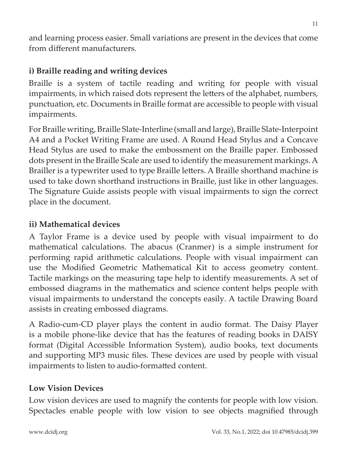and learning process easier. Small variations are present in the devices that come from different manufacturers.

## **i) Braille reading and writing devices**

Braille is a system of tactile reading and writing for people with visual impairments, in which raised dots represent the letters of the alphabet, numbers, punctuation, etc. Documents in Braille format are accessible to people with visual impairments.

For Braille writing, Braille Slate-Interline (small and large), Braille Slate-Interpoint A4 and a Pocket Writing Frame are used. A Round Head Stylus and a Concave Head Stylus are used to make the embossment on the Braille paper. Embossed dots present in the Braille Scale are used to identify the measurement markings.A Brailler is a typewriter used to type Braille letters. A Braille shorthand machine is used to take down shorthand instructions in Braille, just like in other languages. The Signature Guide assists people with visual impairments to sign the correct place in the document.

### **ii) Mathematical devices**

A Taylor Frame is a device used by people with visual impairment to do mathematical calculations. The abacus (Cranmer) is a simple instrument for performing rapid arithmetic calculations. People with visual impairment can use the Modified Geometric Mathematical Kit to access geometry content. Tactile markings on the measuring tape help to identify measurements. A set of embossed diagrams in the mathematics and science content helps people with visual impairments to understand the concepts easily. A tactile Drawing Board assists in creating embossed diagrams.

A Radio-cum-CD player plays the content in audio format. The Daisy Player is a mobile phone-like device that has the features of reading books in DAISY format (Digital Accessible Information System), audio books, text documents and supporting MP3 music files. These devices are used by people with visual impairments to listen to audio-formatted content.

### **Low Vision Devices**

Low vision devices are used to magnify the contents for people with low vision. Spectacles enable people with low vision to see objects magnified through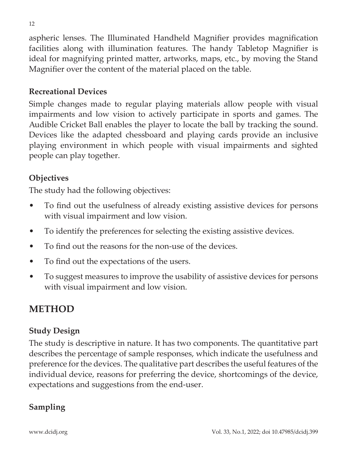aspheric lenses. The Illuminated Handheld Magnifier provides magnification facilities along with illumination features. The handy Tabletop Magnifier is ideal for magnifying printed matter, artworks, maps, etc., by moving the Stand Magnifier over the content of the material placed on the table.

## **Recreational Devices**

Simple changes made to regular playing materials allow people with visual impairments and low vision to actively participate in sports and games. The Audible Cricket Ball enables the player to locate the ball by tracking the sound. Devices like the adapted chessboard and playing cards provide an inclusive playing environment in which people with visual impairments and sighted people can play together.

### **Objectives**

The study had the following objectives:

- To find out the usefulness of already existing assistive devices for persons with visual impairment and low vision.
- To identify the preferences for selecting the existing assistive devices.
- To find out the reasons for the non-use of the devices.
- • To find out the expectations of the users.
- • To suggest measures to improve the usability of assistive devices for persons with visual impairment and low vision.

# **METHOD**

### **Study Design**

The study is descriptive in nature. It has two components. The quantitative part describes the percentage of sample responses, which indicate the usefulness and preference forthe devices. The qualitative part describes the useful features of the individual device, reasons for preferring the device, shortcomings of the device, expectations and suggestions from the end-user.

## **Sampling**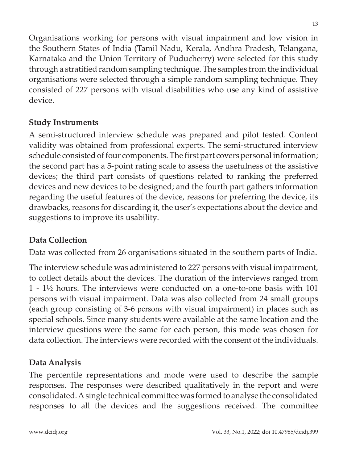Organisations working for persons with visual impairment and low vision in the Southern States of India (Tamil Nadu, Kerala, Andhra Pradesh, Telangana, Karnataka and the Union Territory of Puducherry) were selected for this study through a stratified random sampling technique. The samples from the individual organisations were selected through a simple random sampling technique. They consisted of 227 persons with visual disabilities who use any kind of assistive device.

### **Study Instruments**

A semi-structured interview schedule was prepared and pilot tested. Content validity was obtained from professional experts. The semi-structured interview schedule consisted of four components. The first part covers personal information; the second part has a 5-point rating scale to assess the usefulness of the assistive devices; the third part consists of questions related to ranking the preferred devices and new devices to be designed; and the fourth part gathers information regarding the useful features of the device, reasons for preferring the device, its drawbacks, reasons for discarding it, the user's expectations about the device and suggestions to improve its usability.

#### **Data Collection**

Data was collected from 26 organisations situated in the southern parts of India.

The interview schedule was administered to 227 persons with visual impairment, to collect details about the devices. The duration of the interviews ranged from 1 - 1½ hours. The interviews were conducted on a one-to-one basis with 101 persons with visual impairment. Data was also collected from 24 small groups (each group consisting of 3-6 persons with visual impairment) in places such as special schools. Since many students were available at the same location and the interview questions were the same for each person, this mode was chosen for data collection. The interviews were recorded with the consent of the individuals.

### **Data Analysis**

The percentile representations and mode were used to describe the sample responses. The responses were described qualitatively in the report and were consolidated. A single technical committee was formed to analyse the consolidated responses to all the devices and the suggestions received. The committee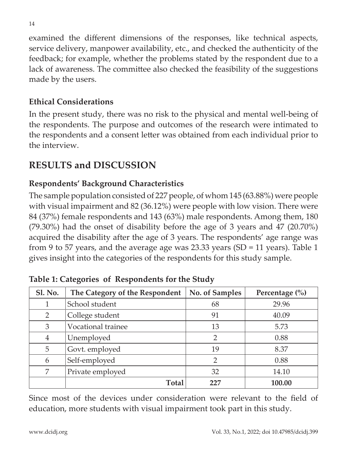examined the different dimensions of the responses, like technical aspects, service delivery, manpower availability, etc., and checked the authenticity of the feedback; for example, whether the problems stated by the respondent due to a lack of awareness. The committee also checked the feasibility of the suggestions made by the users.

### **Ethical Considerations**

In the present study, there was no risk to the physical and mental well-being of the respondents. The purpose and outcomes of the research were intimated to the respondents and a consent letter was obtained from each individual prior to the interview.

# **RESULTS and DISCUSSION**

## **Respondents' Background Characteristics**

The sample population consisted of 227 people, of whom  $145 (63.88%)$  were people with visual impairment and 82 (36.12%) were people with low vision. There were 84 (37%) female respondents and 143 (63%) male respondents. Among them, 180 (79.30%) had the onset of disability before the age of 3 years and 47 (20.70%) acquired the disability after the age of 3 years. The respondents' age range was from 9 to 57 years, and the average age was 23.33 years (SD = 11 years). Table 1 gives insight into the categories of the respondents for this study sample.

| <b>Sl. No.</b> | The Category of the Respondent | No. of Samples | Percentage $\left(\% \right)$ |
|----------------|--------------------------------|----------------|-------------------------------|
|                | School student                 | 68             | 29.96                         |
| 2              | College student                | 91             | 40.09                         |
| 3              | Vocational trainee             | 13             | 5.73                          |
| $\overline{4}$ | Unemployed                     | 2              | 0.88                          |
| 5              | Govt. employed                 | 19             | 8.37                          |
| 6              | Self-employed                  | $\overline{2}$ | 0.88                          |
| 7              | Private employed               | 32             | 14.10                         |
|                | Total                          | フフワ            | 100.00                        |

**Table 1: Categories of Respondents for the Study**

Since most of the devices under consideration were relevant to the field of education, more students with visual impairment took part in this study.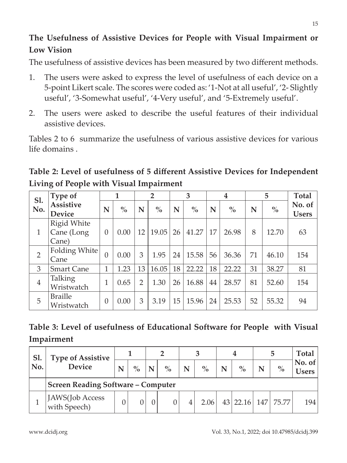# **The Usefulness of Assistive Devices for People with Visual Impairment or Low Vision**

The usefulness of assistive devices has been measured by two different methods.

- 1. The users were asked to express the level of usefulness of each device on a 5-point Likert scale. The scores were coded as: '1-Not at all useful', '2- Slightly useful', '3-Somewhat useful', '4-Very useful', and '5-Extremely useful'.
- 2. The users were asked to describe the useful features of their individual assistive devices.

Tables 2 to 6 summarize the usefulness of various assistive devices for various life domains .

**Table 2: Level of usefulness of 5 different Assistive Devices for Independent Living of People with Visual Impairment**

| S1.            | Type of                            |                | 1             |    | $\overline{2}$ |    | 3             |    | $\boldsymbol{4}$ |    | 5                                  | <b>Total</b>           |
|----------------|------------------------------------|----------------|---------------|----|----------------|----|---------------|----|------------------|----|------------------------------------|------------------------|
| No.            | <b>Assistive</b><br><b>Device</b>  | N              | $\frac{0}{0}$ | N  | $\frac{0}{0}$  | N  | $\frac{0}{0}$ | N  | $\frac{0}{0}$    | N  | $\mathbf{0}_{\mathbf{0}}^{\prime}$ | No. of<br><b>Users</b> |
| $\mathbf{1}$   | Rigid White<br>Cane (Long<br>Cane) | $\theta$       | 0.00          | 12 | 19.05          | 26 | 41.27         | 17 | 26.98            | 8  | 12.70                              | 63                     |
| $\overline{2}$ | Folding White<br>Cane              | $\theta$       | 0.00          | 3  | 1.95           | 24 | 15.58         | 56 | 36.36            | 71 | 46.10                              | 154                    |
| 3              | <b>Smart Cane</b>                  | 1              | 1.23          | 13 | 16.05          | 18 | 22.22         | 18 | 22.22            | 31 | 38.27                              | 81                     |
| $\overline{4}$ | Talking<br>Wristwatch              | 1              | 0.65          | 2  | 1.30           | 26 | 16.88         | 44 | 28.57            | 81 | 52.60                              | 154                    |
| 5              | <b>Braille</b><br>Wristwatch       | $\overline{0}$ | 0.00          | 3  | 3.19           | 15 | 15.96         | 24 | 25.53            | 52 | 55.32                              | 94                     |

| Table 3: Level of usefulness of Educational Software for People with Visual |  |
|-----------------------------------------------------------------------------|--|
| Impairment                                                                  |  |

| <b>S1.</b><br>No. | <b>Type of Assistive</b><br><b>Device</b> |   |      |  |               |   |               |   |               |            |               | Total           |
|-------------------|-------------------------------------------|---|------|--|---------------|---|---------------|---|---------------|------------|---------------|-----------------|
|                   |                                           | N | $\%$ |  | $\frac{0}{0}$ | N | $\frac{0}{0}$ | N | $\frac{0}{0}$ |            | $\frac{0}{0}$ | No. of<br>Users |
|                   | <b>Screen Reading Software - Computer</b> |   |      |  |               |   |               |   |               |            |               |                 |
|                   | JAWS(Job Access<br>with Speech)           |   |      |  |               |   | 2.06          |   | 43 22.16      | <b>147</b> | 75.77         | 194             |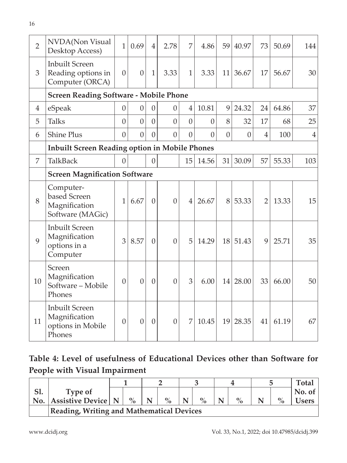| $\overline{2}$ | NVDA(Non Visual<br>Desktop Access)                                    | $\mathbf{1}$   | 0.69           | $\overline{4}$ | 2.78           | 7              | 4.86           | 59             | 40.97          | 73             | 50.69 | 144            |
|----------------|-----------------------------------------------------------------------|----------------|----------------|----------------|----------------|----------------|----------------|----------------|----------------|----------------|-------|----------------|
| 3              | <b>Inbuilt Screen</b><br>Reading options in<br>Computer (ORCA)        | $\theta$       | $\overline{0}$ | $\mathbf{1}$   | 3.33           | $\mathbf{1}$   | 3.33           | 11             | 36.67          | 17             | 56.67 | 30             |
|                | <b>Screen Reading Software - Mobile Phone</b>                         |                |                |                |                |                |                |                |                |                |       |                |
| 4              | eSpeak                                                                | $\theta$       | $\mathbf{0}$   | $\theta$       | $\theta$       | 4              | 10.81          | 9              | 24.32          | 24             | 64.86 | 37             |
| 5              | <b>Talks</b>                                                          | $\overline{0}$ | $\overline{0}$ | $\overline{0}$ | $\overline{0}$ | $\overline{0}$ | $\overline{0}$ | 8              | 32             | 17             | 68    | 25             |
| 6              | <b>Shine Plus</b>                                                     | $\overline{0}$ | $\overline{0}$ | $\overline{0}$ | $\overline{0}$ | $\overline{0}$ | $\overline{0}$ | $\overline{0}$ | $\overline{0}$ | $\overline{4}$ | 100   | $\overline{4}$ |
|                | <b>Inbuilt Screen Reading option in Mobile Phones</b>                 |                |                |                |                |                |                |                |                |                |       |                |
| 7              | <b>TalkBack</b>                                                       | $\Omega$       |                | $\overline{0}$ |                | 15             | 14.56          | 31             | 30.09          | 57             | 55.33 | 103            |
|                | <b>Screen Magnification Software</b>                                  |                |                |                |                |                |                |                |                |                |       |                |
| 8              | Computer-<br>based Screen<br>Magnification<br>Software (MAGic)        | $\mathbf{1}$   | 6.67           | $\overline{0}$ | $\overline{0}$ | $\overline{4}$ | 26.67          | 8              | 53.33          | $\overline{2}$ | 13.33 | 15             |
| 9              | <b>Inbuilt Screen</b><br>Magnification<br>options in a<br>Computer    | 3              | 8.57           | $\overline{0}$ | $\theta$       | 5              | 14.29          | 18             | 51.43          | 9              | 25.71 | 35             |
| 10             | Screen<br>Magnification<br>Software - Mobile<br>Phones                | $\mathbf{0}$   | $\overline{0}$ | $\mathbf{0}$   | $\overline{0}$ | 3              | 6.00           |                | 14 28.00       | 33             | 66.00 | 50             |
| 11             | <b>Inbuilt Screen</b><br>Magnification<br>options in Mobile<br>Phones | $\theta$       | $\overline{0}$ | $\overline{0}$ | $\overline{0}$ | 7              | 10.45          | 19             | 28.35          | 41             | 61.19 | 67             |

# **Table 4: Level of usefulness of Educational Devices other than Software for People with Visual Impairment**

| 1.  | Type of                   |                                           |   |      |  |               |  |               |  |      | No. of |  |
|-----|---------------------------|-------------------------------------------|---|------|--|---------------|--|---------------|--|------|--------|--|
| No. | <b>Assistive Device N</b> | $\frac{0}{0}$                             | N | $\%$ |  | $\mathbf{O}/$ |  | $\frac{0}{0}$ |  | $\%$ | sers   |  |
|     |                           | Reading, Writing and Mathematical Devices |   |      |  |               |  |               |  |      |        |  |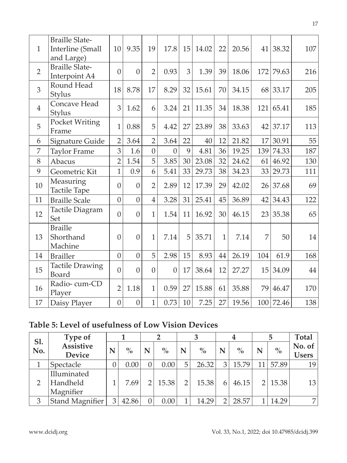| $\mathbf{1}$   | <b>Braille Slate-</b><br>Interline (Small<br>and Large) | 10             | 9.35             | 19             | 17.8           | 15 | 14.02 | 22           | 20.56 | 41  | 38.32     | 107 |
|----------------|---------------------------------------------------------|----------------|------------------|----------------|----------------|----|-------|--------------|-------|-----|-----------|-----|
| $\overline{2}$ | <b>Braille Slate-</b><br>Interpoint A4                  | $\overline{0}$ | $\overline{0}$   | $\overline{2}$ | 0.93           | 3  | 1.39  | 39           | 18.06 | 172 | 79.63     | 216 |
| 3              | Round Head<br>Stylus                                    | 18             | 8.78             | 17             | 8.29           | 32 | 15.61 | 70           | 34.15 | 68  | 33.17     | 205 |
| $\overline{4}$ | Concave Head<br>Stylus                                  | 3              | 1.62             | 6              | 3.24           | 21 | 11.35 | 34           | 18.38 | 121 | 65.41     | 185 |
| 5              | Pocket Writing<br>Frame                                 | 1              | 0.88             | 5              | 4.42           | 27 | 23.89 | 38           | 33.63 | 42  | 37.17     | 113 |
| 6              | Signature Guide                                         | $\overline{2}$ | 3.64             | $\overline{2}$ | 3.64           | 22 | 40    | 12           | 21.82 | 17  | 30.91     | 55  |
| 7              | <b>Taylor Frame</b>                                     | 3              | 1.6              | $\overline{0}$ | $\overline{0}$ | 9  | 4.81  | 36           | 19.25 | 139 | 74.33     | 187 |
| 8              | Abacus                                                  | $\overline{2}$ | 1.54             | 5              | 3.85           | 30 | 23.08 | 32           | 24.62 | 61  | 46.92     | 130 |
| 9              | Geometric Kit                                           | $\mathbf{1}$   | 0.9              | 6              | 5.41           | 33 | 29.73 | 38           | 34.23 | 33  | 29.73     | 111 |
| 10             | Measuring<br>Tactile Tape                               | $\overline{0}$ | $\mathbf{0}$     | $\overline{2}$ | 2.89           | 12 | 17.39 | 29           | 42.02 |     | 26 37.68  | 69  |
| 11             | <b>Braille Scale</b>                                    | $\overline{0}$ | $\overline{0}$   | $\overline{4}$ | 3.28           | 31 | 25.41 | 45           | 36.89 | 42  | 34.43     | 122 |
| 12             | Tactile Diagram<br>Set                                  | $\overline{0}$ | $\mathbf{0}$     | $\mathbf{1}$   | 1.54           | 11 | 16.92 | 30           | 46.15 | 23  | 35.38     | 65  |
| 13             | <b>Braille</b><br>Shorthand<br>Machine                  | $\overline{0}$ | $\overline{0}$   | $\mathbf{1}$   | 7.14           | 5  | 35.71 | $\mathbf{1}$ | 7.14  | 7   | 50        | 14  |
| 14             | <b>Brailler</b>                                         | $\overline{0}$ | $\overline{0}$   | 5              | 2.98           | 15 | 8.93  | 44           | 26.19 | 104 | 61.9      | 168 |
| 15             | <b>Tactile Drawing</b><br>Board                         | $\overline{0}$ | $\overline{0}$   | $\overline{0}$ | $\overline{0}$ | 17 | 38.64 | 12           | 27.27 | 15  | 34.09     | 44  |
| 16             | Radio-cum-CD<br>Player                                  | $\overline{2}$ | 1.18             | $\mathbf{1}$   | 0.59           | 27 | 15.88 | 61           | 35.88 | 79  | 46.47     | 170 |
| 17             | Daisy Player                                            | $\mathbf{0}$   | $\boldsymbol{0}$ | $\mathbf{1}$   | 0.73           | 10 | 7.25  | 27           | 19.56 |     | 100 72.46 | 138 |

## **Table 5: Level of usefulness of Low Vision Devices**

| S1. | Type of                           |    |               |               |       |               |       |   | 4             |               | 5     | <b>Total</b>           |
|-----|-----------------------------------|----|---------------|---------------|-------|---------------|-------|---|---------------|---------------|-------|------------------------|
| No. | <b>Assistive</b><br><b>Device</b> | N  | $\frac{0}{0}$ | N             | $\%$  | N             | $\%$  | N | $\frac{0}{0}$ | N             | $\%$  | No. of<br><b>Users</b> |
|     |                                   |    |               |               |       |               |       |   |               |               |       |                        |
|     | Spectacle                         | J. | 0.00          |               | 0.00  | 5             | 26.32 | 3 | 15.79         | 11            | 57.89 | 19                     |
|     | Illuminated                       |    |               |               |       |               |       |   |               |               |       |                        |
|     | Handheld                          |    | 7.69          | $\mathcal{D}$ | 15.38 | $\mathcal{P}$ | 15.38 | 6 | 46.15         | $\mathcal{P}$ | 15.38 | 13                     |
|     | Magnifier                         |    |               |               |       |               |       |   |               |               |       |                        |
| 3   | Stand Magnifier                   | 3  | 42.86         |               | 0.00  |               | 14.29 |   | 28.57         |               | 14.29 | $\overline{7}$         |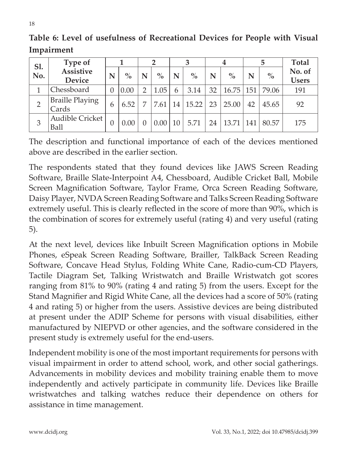| Sl.            | Type of                 |                  |      |   | 2             |    |               |    | 4                |     | 5     | <b>Total</b> |
|----------------|-------------------------|------------------|------|---|---------------|----|---------------|----|------------------|-----|-------|--------------|
| No.            | <b>Assistive</b>        | N                | $\%$ | N | $\frac{0}{0}$ | N  | $\frac{0}{0}$ | N  | $\frac{0}{0}$    | N   | $\%$  | No. of       |
|                | <b>Device</b>           |                  |      |   |               |    |               |    |                  |     |       | <b>Users</b> |
| 1              | Chessboard              | $\left( \right)$ | 0.00 |   | 1.05          | 6  | 3.14          | 32 | $16.75 \mid 151$ |     | 79.06 | 191          |
| $\overline{2}$ | <b>Braille Playing</b>  | 6                | 6.52 |   | 7.61          | 14 | 15.22         | 23 | 25.00            | 42  | 45.65 | 92           |
|                | Cards                   |                  |      |   |               |    |               |    |                  |     |       |              |
| 3              | Audible Cricket<br>Ball | 0                | 0.00 |   | 0.00          | 10 | 5.71          | 24 | 13.71            | 141 | 80.57 | 175          |

**Table 6: Level of usefulness of Recreational Devices for People with Visual Impairment**

The description and functional importance of each of the devices mentioned above are described in the earlier section.

The respondents stated that they found devices like JAWS Screen Reading Software, Braille Slate-Interpoint A4, Chessboard, Audible Cricket Ball, Mobile Screen Magnification Software, Taylor Frame, Orca Screen Reading Software, Daisy Player, NVDA Screen Reading Software and Talks Screen Reading Software extremely useful. This is clearly reflected in the score of more than 90%, which is the combination of scores for extremely useful (rating 4) and very useful (rating 5).

At the next level, devices like Inbuilt Screen Magnification options in Mobile Phones, eSpeak Screen Reading Software, Brailler, TalkBack Screen Reading Software, Concave Head Stylus, Folding White Cane, Radio-cum-CD Players, Tactile Diagram Set, Talking Wristwatch and Braille Wristwatch got scores ranging from 81% to 90% (rating 4 and rating 5) from the users. Except for the Stand Magnifier and Rigid White Cane, all the devices had a score of 50% (rating 4 and rating 5) or higher from the users. Assistive devices are being distributed at present under the ADIP Scheme for persons with visual disabilities, either manufactured by NIEPVD or other agencies, and the software considered in the present study is extremely useful for the end-users.

Independent mobility is one of the most important requirements for persons with visual impairment in order to attend school, work, and other social gatherings. Advancements in mobility devices and mobility training enable them to move independently and actively participate in community life. Devices like Braille wristwatches and talking watches reduce their dependence on others for assistance in time management.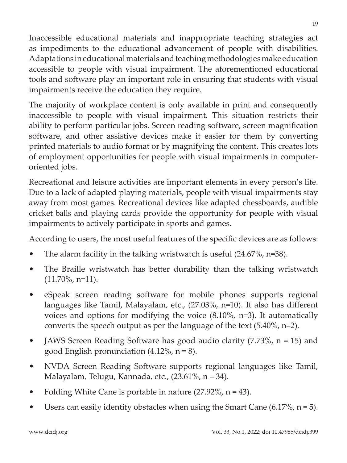Inaccessible educational materials and inappropriate teaching strategies act as impediments to the educational advancement of people with disabilities. Adaptations in educational materials and teaching methodologies make education accessible to people with visual impairment. The aforementioned educational tools and software play an important role in ensuring that students with visual impairments receive the education they require.

The majority of workplace content is only available in print and consequently inaccessible to people with visual impairment. This situation restricts their ability to perform particular jobs. Screen reading software, screen magnification software, and other assistive devices make it easier for them by converting printed materials to audio format or by magnifying the content. This creates lots of employment opportunities for people with visual impairments in computeroriented jobs.

Recreational and leisure activities are important elements in every person's life. Due to a lack of adapted playing materials, people with visual impairments stay away from most games. Recreational devices like adapted chessboards, audible cricket balls and playing cards provide the opportunity for people with visual impairments to actively participate in sports and games.

According to users, the most useful features of the specific devices are as follows:

- The alarm facility in the talking wristwatch is useful  $(24.67\% , n=38)$ .
- The Braille wristwatch has better durability than the talking wristwatch  $(11.70\%, n=11)$ .
- • eSpeak screen reading software for mobile phones supports regional languages like Tamil, Malayalam, etc., (27.03%, n=10). It also has different voices and options for modifying the voice (8.10%, n=3). It automatically converts the speech output as per the language of the text (5.40%, n=2).
- JAWS Screen Reading Software has good audio clarity  $(7.73\% , n = 15)$  and good English pronunciation  $(4.12\% , n = 8)$ .
- NVDA Screen Reading Software supports regional languages like Tamil, Malayalam, Telugu, Kannada, etc., (23.61%, n = 34).
- Folding White Cane is portable in nature  $(27.92\%, n = 43)$ .
- Users can easily identify obstacles when using the Smart Cane  $(6.17\%, n=5)$ .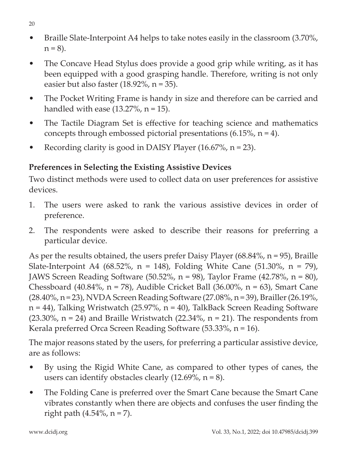- Braille Slate-Interpoint A4 helps to take notes easily in the classroom (3.70%,  $n = 8$ ).
- The Concave Head Stylus does provide a good grip while writing, as it has been equipped with a good grasping handle. Therefore, writing is not only easier but also faster  $(18.92\%, n = 35)$ .
- The Pocket Writing Frame is handy in size and therefore can be carried and handled with ease  $(13.27\% , n = 15)$ .
- The Tactile Diagram Set is effective for teaching science and mathematics concepts through embossed pictorial presentations (6.15%, n = 4).
- Recording clarity is good in DAISY Player  $(16.67\% , n = 23)$ .

# **Preferences in Selecting the Existing Assistive Devices**

Two distinct methods were used to collect data on user preferences for assistive devices.

- 1. The users were asked to rank the various assistive devices in order of preference.
- 2. The respondents were asked to describe their reasons for preferring a particular device.

As per the results obtained, the users prefer Daisy Player (68.84%, n = 95), Braille Slate-Interpoint A4 (68.52%,  $n = 148$ ), Folding White Cane (51.30%,  $n = 79$ ), JAWS Screen Reading Software (50.52%, n = 98), Taylor Frame (42.78%, n = 80), Chessboard (40.84%,  $n = 78$ ), Audible Cricket Ball (36.00%,  $n = 63$ ), Smart Cane (28.40%, n = 23), NVDA Screen Reading Software (27.08%, n = 39), Brailler(26.19%, n = 44), Talking Wristwatch (25.97%, n = 40), TalkBack Screen Reading Software  $(23.30\%$ , n = 24) and Braille Wristwatch  $(22.34\%$ , n = 21). The respondents from Kerala preferred Orca Screen Reading Software (53.33%, n = 16).

The major reasons stated by the users, for preferring a particular assistive device, are as follows:

- • By using the Rigid White Cane, as compared to other types of canes, the users can identify obstacles clearly  $(12.69\%, n=8)$ .
- The Folding Cane is preferred over the Smart Cane because the Smart Cane vibrates constantly when there are objects and confuses the user finding the right path  $(4.54\%, n = 7)$ .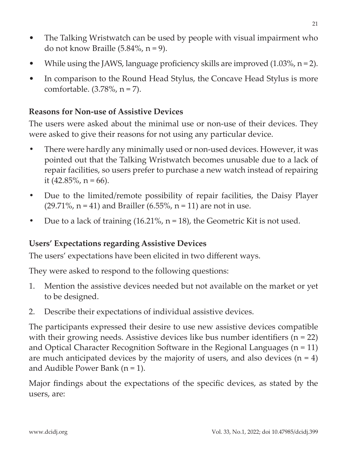- The Talking Wristwatch can be used by people with visual impairment who do not know Braille (5.84%, n = 9).
- While using the JAWS, language proficiency skills are improved  $(1.03\%, n=2)$ .
- In comparison to the Round Head Stylus, the Concave Head Stylus is more comfortable. (3.78%, n = 7).

### **Reasons for Non-use of Assistive Devices**

The users were asked about the minimal use or non-use of their devices. They were asked to give their reasons for not using any particular device.

- **•** There were hardly any minimally used or non-used devices. However, it was pointed out that the Talking Wristwatch becomes unusable due to a lack of repair facilities, so users prefer to purchase a new watch instead of repairing it  $(42.85\%, n = 66)$ .
- **•** Due to the limited/remote possibility of repair facilities, the Daisy Player  $(29.71\%, n = 41)$  and Brailler  $(6.55\%, n = 11)$  are not in use.
- **•** Due to a lack of training (16.21%, n = 18), the Geometric Kit is not used.

## **Users' Expectations regarding Assistive Devices**

The users' expectations have been elicited in two different ways.

They were asked to respond to the following questions:

- 1. Mention the assistive devices needed but not available on the market or yet to be designed.
- 2. Describe their expectations of individual assistive devices.

The participants expressed their desire to use new assistive devices compatible with their growing needs. Assistive devices like bus number identifiers ( $n = 22$ ) and Optical Character Recognition Software in the Regional Languages  $(n = 11)$ are much anticipated devices by the majority of users, and also devices  $(n = 4)$ and Audible Power Bank (n = 1).

Major findings about the expectations of the specific devices, as stated by the users, are: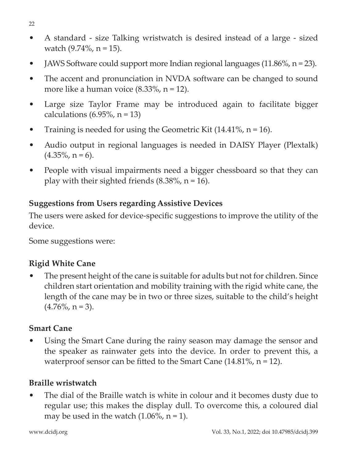- A standard size Talking wristwatch is desired instead of a large sized watch  $(9.74\% , n = 15)$ .
- JAWS Software could support more Indian regional languages (11.86%,  $n = 23$ ).
- The accent and pronunciation in NVDA software can be changed to sound more like a human voice (8.33%, n = 12).
- Large size Taylor Frame may be introduced again to facilitate bigger calculations  $(6.95\%, n = 13)$
- Training is needed for using the Geometric Kit  $(14.41\%, n = 16)$ .
- Audio output in regional languages is needed in DAISY Player (Plextalk)  $(4.35\%, n = 6)$ .
- People with visual impairments need a bigger chessboard so that they can play with their sighted friends  $(8.38\%, n = 16)$ .

## **Suggestions from Users regarding Assistive Devices**

The users were asked for device-specific suggestions to improve the utility of the device.

Some suggestions were:

# **Rigid White Cane**

The present height of the cane is suitable for adults but not for children. Since children start orientation and mobility training with the rigid white cane, the length of the cane may be in two or three sizes, suitable to the child's height  $(4.76\%, n=3)$ .

## **Smart Cane**

Using the Smart Cane during the rainy season may damage the sensor and the speaker as rainwater gets into the device. In order to prevent this, a waterproof sensor can be fitted to the Smart Cane  $(14.81\%, n = 12)$ .

# **Braille wristwatch**

The dial of the Braille watch is white in colour and it becomes dusty due to regular use; this makes the display dull. To overcome this, a coloured dial may be used in the watch  $(1.06\% , n = 1)$ .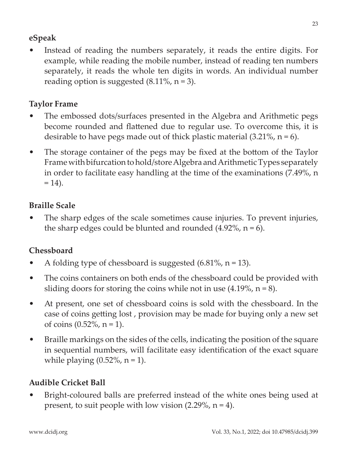## **eSpeak**

Instead of reading the numbers separately, it reads the entire digits. For example, while reading the mobile number, instead of reading ten numbers separately, it reads the whole ten digits in words. An individual number reading option is suggested  $(8.11\% , n = 3)$ .

# **Taylor Frame**

- The embossed dots/surfaces presented in the Algebra and Arithmetic pegs become rounded and flattened due to regular use. To overcome this, it is desirable to have pegs made out of thick plastic material  $(3.21\% , n = 6)$ .
- The storage container of the pegs may be fixed at the bottom of the Taylor Frame with bifurcation to hold/store Algebra and Arithmetic Types separately in order to facilitate easy handling at the time of the examinations (7.49%, n  $= 14$ ).

# **Braille Scale**

The sharp edges of the scale sometimes cause injuries. To prevent injuries, the sharp edges could be blunted and rounded  $(4.92\%, n=6)$ .

# **Chessboard**

- A folding type of chessboard is suggested  $(6.81\% , n = 13)$ .
- The coins containers on both ends of the chessboard could be provided with sliding doors for storing the coins while not in use  $(4.19\%, n = 8)$ .
- At present, one set of chessboard coins is sold with the chessboard. In the case of coins getting lost , provision may be made for buying only a new set of coins  $(0.52\%, n = 1)$ .
- Braille markings on the sides of the cells, indicating the position of the square in sequential numbers, will facilitate easy identification of the exact square while playing  $(0.52\% , n = 1)$ .

# **Audible Cricket Ball**

• Bright-coloured balls are preferred instead of the white ones being used at present, to suit people with low vision  $(2.29\%, n=4)$ .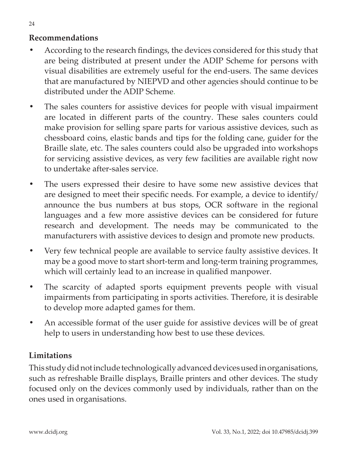### **Recommendations**

- **•** According to the research findings, the devices considered for this study that are being distributed at present under the ADIP Scheme for persons with visual disabilities are extremely useful for the end-users. The same devices that are manufactured by NIEPVD and other agencies should continue to be distributed under the ADIP Scheme.
- **•** The sales counters for assistive devices for people with visual impairment are located in different parts of the country. These sales counters could make provision for selling spare parts for various assistive devices, such as chessboard coins, elastic bands and tips for the folding cane, guider for the Braille slate, etc. The sales counters could also be upgraded into workshops for servicing assistive devices, as very few facilities are available right now to undertake after-sales service.
- The users expressed their desire to have some new assistive devices that are designed to meet their specific needs. For example, a device to identify/ announce the bus numbers at bus stops, OCR software in the regional languages and a few more assistive devices can be considered for future research and development. The needs may be communicated to the manufacturers with assistive devices to design and promote new products.
- **•** Very few technical people are available to service faulty assistive devices. It may be a good move to start short-term and long-term training programmes, which will certainly lead to an increase in qualified manpower.
- **•** The scarcity of adapted sports equipment prevents people with visual impairments from participating in sports activities. Therefore, it is desirable to develop more adapted games for them.
- **•** An accessible format of the user guide for assistive devices will be of great help to users in understanding how best to use these devices.

## **Limitations**

This study did not include technologically advanced devices used in organisations, such as refreshable Braille displays, Braille printers and other devices. The study focused only on the devices commonly used by individuals, rather than on the ones used in organisations.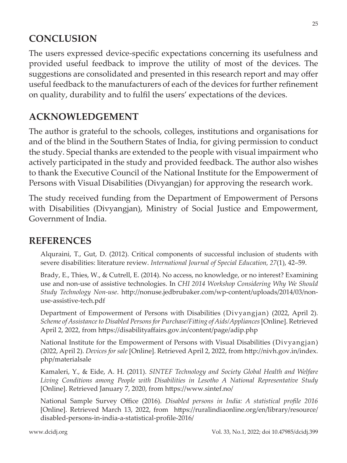# **CONCLUSION**

The users expressed device-specific expectations concerning its usefulness and provided useful feedback to improve the utility of most of the devices. The suggestions are consolidated and presented in this research report and may offer useful feedback to the manufacturers of each of the devices for further refinement on quality, durability and to fulfil the users' expectations of the devices.

# **ACKNOWLEDGEMENT**

The author is grateful to the schools, colleges, institutions and organisations for and of the blind in the Southern States of India, for giving permission to conduct the study. Special thanks are extended to the people with visual impairment who actively participated in the study and provided feedback. The author also wishes to thank the Executive Council of the National Institute for the Empowerment of Persons with Visual Disabilities (Divyangjan) for approving the research work.

The study received funding from the Department of Empowerment of Persons with Disabilities (Divyangjan), Ministry of Social Justice and Empowerment, Government of India.

# **REFERENCES**

Alquraini, T., Gut, D. (2012). Critical components of successful inclusion of students with severe disabilities: literature review. *International Journal of Special Education, 27*(1), 42–59.

Brady, E., Thies, W., & Cutrell, E. (2014). No access, no knowledge, or no interest? Examining use and non-use of assistive technologies. In *CHI 2014 Workshop Considering Why We Should Study Technology Non-use*. http://nonuse.jedbrubaker.com/wp-content/uploads/2014/03/nonuse-assistive-tech.pdf

Department of Empowerment of Persons with Disabilities (Divyangjan) (2022, April 2). *Scheme of Assistance to Disabled Persons for Purchase/Fitting of Aids/Appliances*[Online]. Retrieved April 2, 2022, from https://disabilityaffairs.gov.in/content/page/adip.php

National Institute for the Empowerment of Persons with Visual Disabilities (Divyangjan) (2022, April 2). *Devices for sale* [Online]. Retrieved April 2, 2022, from http://nivh.gov.in/index. php/materialsale

Kamaleri, Y., & Eide, A. H. (2011). *SINTEF Technology and Society Global Health and Welfare Living Conditions among People with Disabilities in Lesotho A National Representative Study* [Online]. Retrieved January 7, 2020, from https://www.sintef.no/

National Sample Survey Office (2016). *Disabled persons in India: A statistical profile 2016* [Online]. Retrieved March 13, 2022, from https://ruralindiaonline.org/en/library/resource/ disabled-persons-in-india-a-statistical-profile-2016/